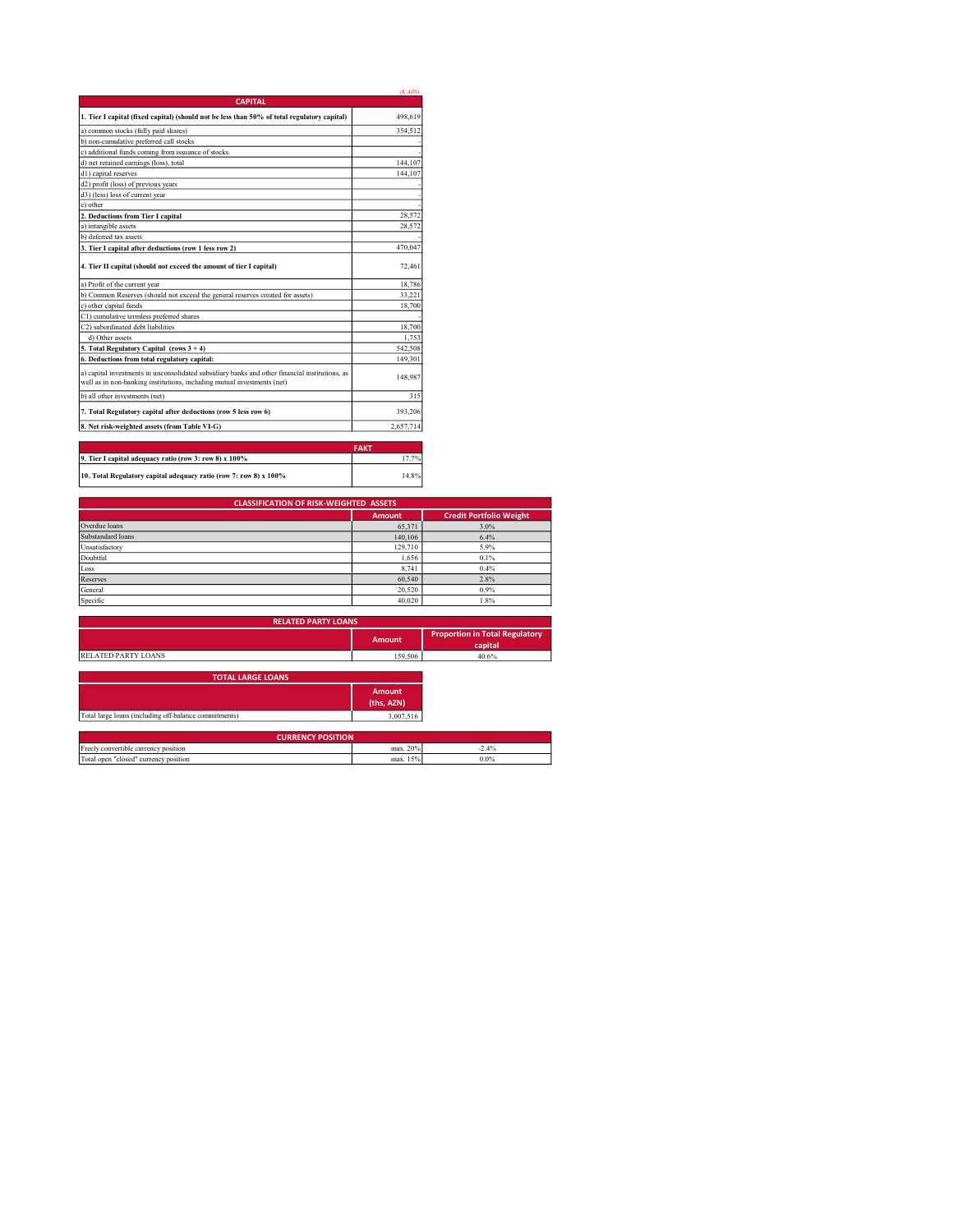|                                                                                                                                                                           | (KAZN)      |
|---------------------------------------------------------------------------------------------------------------------------------------------------------------------------|-------------|
| <b>CAPITAL</b>                                                                                                                                                            |             |
| 1. Tier I capital (fixed capital) (should not be less than 50% of total regulatory capital)                                                                               | 498,619     |
| a) common stocks (fully paid shares)                                                                                                                                      | 354.512     |
| b) non-cumulative preferred call stocks                                                                                                                                   |             |
| c) additional funds coming from issuance of stocks                                                                                                                        |             |
| d) net retained earnings (loss), total                                                                                                                                    | 144,107     |
| d1) capital reserves                                                                                                                                                      | 144,107     |
| d2) profit (loss) of previous years                                                                                                                                       |             |
| d3) (less) loss of current year                                                                                                                                           |             |
| e) other                                                                                                                                                                  |             |
| 2. Deductions from Tier I capital                                                                                                                                         | 28.572      |
| a) intangible assets                                                                                                                                                      | 28.572      |
| b) deferred tax assets                                                                                                                                                    |             |
| 3. Tier I capital after deductions (row 1 less row 2)                                                                                                                     | 470.047     |
| 4. Tier II capital (should not exceed the amount of tier I capital)                                                                                                       | 72.461      |
| a) Profit of the current year                                                                                                                                             | 18.786      |
| b) Common Reserves (should not exceed the general reserves created for assets)                                                                                            | 33,221      |
| c) other capital funds                                                                                                                                                    | 18,700      |
| C1) cumulative termless preferred shares                                                                                                                                  |             |
| C2) subordinated debt liabilities                                                                                                                                         | 18,700      |
| d) Other assets                                                                                                                                                           | 1.753       |
| 5. Total Regulatory Capital (rows 3 + 4)                                                                                                                                  | 542,508     |
| 6. Deductions from total regulatory capital:                                                                                                                              | 149.301     |
| a) capital investments in unconsolidated subsidiary banks and other financial institutions, as<br>well as in non-banking institutions, including mutual investments (net) | 148,987     |
| b) all other investments (net)                                                                                                                                            | 315         |
| 7. Total Regulatory capital after deductions (row 5 less row 6)                                                                                                           | 393,206     |
| 8. Net risk-weighted assets (from Table VI-G)                                                                                                                             | 2,657,714   |
|                                                                                                                                                                           |             |
|                                                                                                                                                                           | <b>CAMT</b> |

|                                                                   | <b>FAKT</b> |
|-------------------------------------------------------------------|-------------|
| 9. Tier I capital adequacy ratio (row 3: row 8) x 100%            | 7.7%        |
| 10. Total Regulatory capital adequacy ratio (row 7: row 8) x 100% | 14.8%       |

| <b>CLASSIFICATION OF RISK-WEIGHTED ASSETS</b> |               |                                |  |  |
|-----------------------------------------------|---------------|--------------------------------|--|--|
|                                               | <b>Amount</b> | <b>Credit Portfolio Weight</b> |  |  |
| Overdue loans                                 | 65,371        | 3.0%                           |  |  |
| Substandard loans                             | 140,106       | 6.4%                           |  |  |
| Unsatisfactory                                | 129,710       | 5.9%                           |  |  |
| Doubtful                                      | 1.656         | 0.1%                           |  |  |
| Loss                                          | 8.741         | 0.4%                           |  |  |
| Reserves                                      | 60,540        | 2.8%                           |  |  |
| General                                       | 20.520        | 0.9%                           |  |  |
| Specific                                      | 40.020        | 1.8%                           |  |  |

| <b>RELATED PARTY LOANS</b> |         |                                                  |  |
|----------------------------|---------|--------------------------------------------------|--|
|                            | Amount  | <b>Proportion in Total Regulatory</b><br>capital |  |
| <b>RELATED PARTY LOANS</b> | 159,506 | 40.6%                                            |  |
| <b>TOTAL LARGE LOANS</b>   |         |                                                  |  |

|                                                       | Amount<br>(ths, AZN) |
|-------------------------------------------------------|----------------------|
| Total large loans (including off-balance commitments) | 3,007,516            |
|                                                       |                      |

| <b>CURRENCY POSITION</b>                 |                |       |  |  |
|------------------------------------------|----------------|-------|--|--|
| convertible currency position            | 20%<br>max.    | $4\%$ |  |  |
| Total open<br>"closed" currency position | $.5\%$<br>max. | 0.0%  |  |  |
|                                          |                |       |  |  |